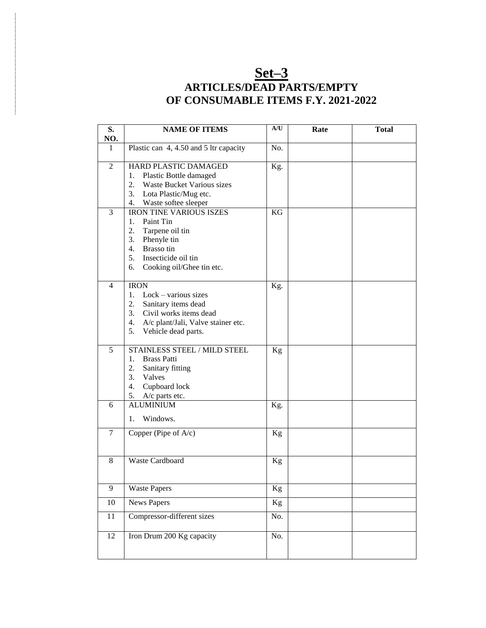### **Set–3 ARTICLES/DEAD PARTS/EMPTY OF CONSUMABLE ITEMS F.Y. 2021-2022**

| S.             | <b>NAME OF ITEMS</b>                                 | A/U | Rate | <b>Total</b> |
|----------------|------------------------------------------------------|-----|------|--------------|
| NO.            |                                                      |     |      |              |
| 1              | Plastic can 4, 4.50 and 5 ltr capacity               | No. |      |              |
| $\overline{2}$ | HARD PLASTIC DAMAGED<br>1.<br>Plastic Bottle damaged | Kg. |      |              |
|                | 2. Waste Bucket Various sizes                        |     |      |              |
|                | 3. Lota Plastic/Mug etc.                             |     |      |              |
|                | 4. Waste softee sleeper                              |     |      |              |
| 3              | <b>IRON TINE VARIOUS ISZES</b>                       | KG  |      |              |
|                | Paint Tin<br>1.                                      |     |      |              |
|                | 2.<br>Tarpene oil tin                                |     |      |              |
|                | 3.<br>Phenyle tin                                    |     |      |              |
|                | 4. Brasso tin                                        |     |      |              |
|                | 5.<br>Insecticide oil tin                            |     |      |              |
|                | 6.<br>Cooking oil/Ghee tin etc.                      |     |      |              |
|                |                                                      |     |      |              |
| $\overline{4}$ | <b>IRON</b>                                          | Kg. |      |              |
|                | 1. Lock – various sizes                              |     |      |              |
|                | 2.<br>Sanitary items dead                            |     |      |              |
|                | 3.<br>Civil works items dead                         |     |      |              |
|                | A/c plant/Jali, Valve stainer etc.<br>4.             |     |      |              |
|                | 5.<br>Vehicle dead parts.                            |     |      |              |
|                |                                                      |     |      |              |
| 5              | <b>STAINLESS STEEL / MILD STEEL</b>                  | Kg  |      |              |
|                | <b>Brass Patti</b><br>1.                             |     |      |              |
|                | 2.<br>Sanitary fitting                               |     |      |              |
|                | 3.<br>Valves                                         |     |      |              |
|                | 4.<br>Cupboard lock<br>5.<br>A/c parts etc.          |     |      |              |
| 6              | <b>ALUMINIUM</b>                                     | Kg. |      |              |
|                |                                                      |     |      |              |
|                | Windows.<br>1.                                       |     |      |              |
| $\tau$         | Copper (Pipe of A/c)                                 | Kg  |      |              |
|                |                                                      |     |      |              |
|                |                                                      |     |      |              |
| 8              | <b>Waste Cardboard</b>                               | Kg  |      |              |
|                |                                                      |     |      |              |
|                |                                                      |     |      |              |
| $\overline{9}$ | <b>Waste Papers</b>                                  | Kg  |      |              |
| $10\,$         | <b>News Papers</b>                                   | Kg  |      |              |
| 11             | Compressor-different sizes                           | No. |      |              |
| 12             | Iron Drum 200 Kg capacity                            | No. |      |              |
|                |                                                      |     |      |              |
|                |                                                      |     |      |              |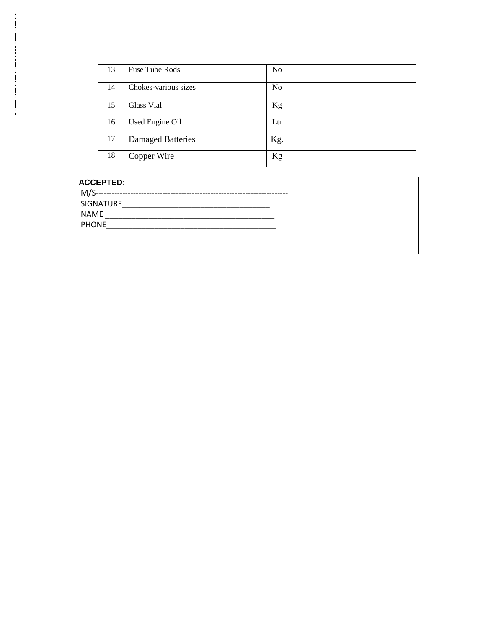| 13 | <b>Fuse Tube Rods</b>    | N <sub>o</sub> |  |
|----|--------------------------|----------------|--|
| 14 | Chokes-various sizes     | N <sub>o</sub> |  |
| 15 | Glass Vial               | Kg             |  |
| 16 | Used Engine Oil          | Ltr            |  |
| 17 | <b>Damaged Batteries</b> | Kg.            |  |
| 18 | Copper Wire              | Kg             |  |

#### **ACCEPTED**:

M/S------------------------------------------------------------------------

SIGNATURE\_\_\_\_\_\_\_\_\_\_\_\_\_\_\_\_\_\_\_\_\_\_\_\_\_\_\_\_\_\_\_\_\_\_

 $NAME$ 

PHONE\_\_\_\_\_\_\_\_\_\_\_\_\_\_\_\_\_\_\_\_\_\_\_\_\_\_\_\_\_\_\_\_\_\_\_\_\_\_\_